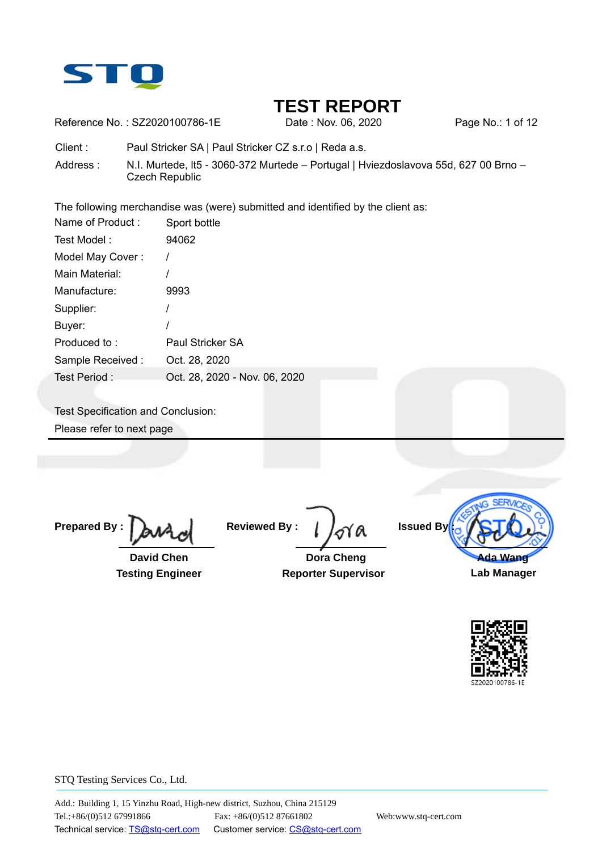

Reference No.: SZ2020100786-1E Date: Nov. 06, 2020 Page No.: 1 of 12

Client : Paul Stricker SA | Paul Stricker CZ s.r.o | Reda a.s.

Address : N.I. Murtede, It5 - 3060-372 Murtede – Portugal | Hviezdoslavova 55d, 627 00 Brno – Czech Republic

The following merchandise was (were) submitted and identified by the client as:

| Name of Product: | Sport bottle                  |
|------------------|-------------------------------|
| Test Model:      | 94062                         |
| Model May Cover: |                               |
| Main Material:   |                               |
| Manufacture:     | 9993                          |
| Supplier:        |                               |
| Buyer:           |                               |
| Produced to:     | Paul Stricker SA              |
| Sample Received: | Oct. 28, 2020                 |
| Test Period:     | Oct. 28, 2020 - Nov. 06, 2020 |

Test Specification and Conclusion: Please refer to next page

**Prepared By :** 

 **David Chen Testing Engineer** 

**Reviewed By :** 

 **Dora Cheng Reporter Supervisor**

**Issued By** 



**Lab Manager** 

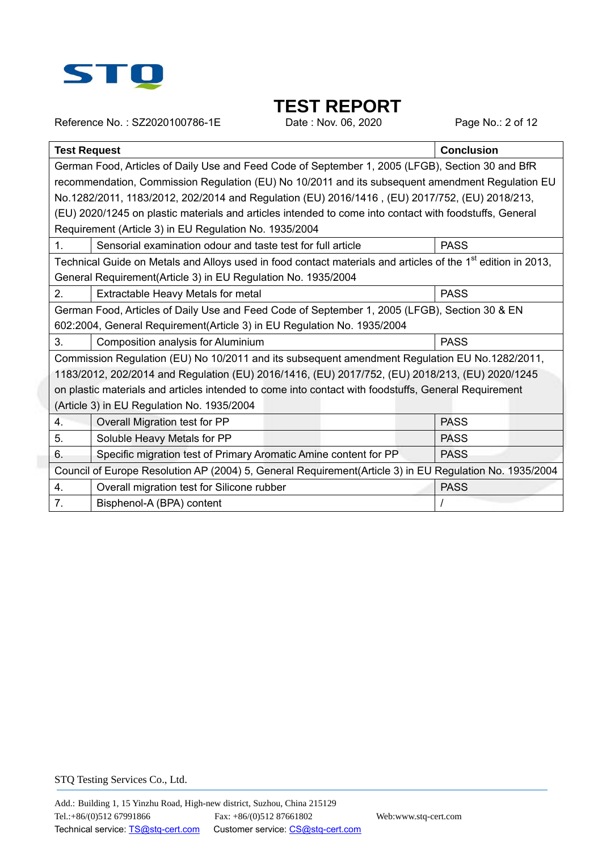

Reference No.: SZ2020100786-1E Date : Nov. 06, 2020 Page No.: 2 of 12

| <b>Test Request</b><br><b>Conclusion</b>                                                                                 |  |  |  |  |  |  |  |
|--------------------------------------------------------------------------------------------------------------------------|--|--|--|--|--|--|--|
| German Food, Articles of Daily Use and Feed Code of September 1, 2005 (LFGB), Section 30 and BfR                         |  |  |  |  |  |  |  |
| recommendation, Commission Regulation (EU) No 10/2011 and its subsequent amendment Regulation EU                         |  |  |  |  |  |  |  |
| No.1282/2011, 1183/2012, 202/2014 and Regulation (EU) 2016/1416, (EU) 2017/752, (EU) 2018/213,                           |  |  |  |  |  |  |  |
| (EU) 2020/1245 on plastic materials and articles intended to come into contact with foodstuffs, General                  |  |  |  |  |  |  |  |
| Requirement (Article 3) in EU Regulation No. 1935/2004                                                                   |  |  |  |  |  |  |  |
| <b>PASS</b><br>1.<br>Sensorial examination odour and taste test for full article                                         |  |  |  |  |  |  |  |
| Technical Guide on Metals and Alloys used in food contact materials and articles of the 1 <sup>st</sup> edition in 2013, |  |  |  |  |  |  |  |
| General Requirement(Article 3) in EU Regulation No. 1935/2004                                                            |  |  |  |  |  |  |  |
| 2.<br><b>PASS</b><br>Extractable Heavy Metals for metal                                                                  |  |  |  |  |  |  |  |
| German Food, Articles of Daily Use and Feed Code of September 1, 2005 (LFGB), Section 30 & EN                            |  |  |  |  |  |  |  |
| 602:2004, General Requirement(Article 3) in EU Regulation No. 1935/2004                                                  |  |  |  |  |  |  |  |
| 3.<br><b>PASS</b><br>Composition analysis for Aluminium                                                                  |  |  |  |  |  |  |  |
| Commission Regulation (EU) No 10/2011 and its subsequent amendment Regulation EU No.1282/2011,                           |  |  |  |  |  |  |  |
| 1183/2012, 202/2014 and Regulation (EU) 2016/1416, (EU) 2017/752, (EU) 2018/213, (EU) 2020/1245                          |  |  |  |  |  |  |  |
| on plastic materials and articles intended to come into contact with foodstuffs, General Requirement                     |  |  |  |  |  |  |  |
| (Article 3) in EU Regulation No. 1935/2004                                                                               |  |  |  |  |  |  |  |
| <b>PASS</b><br>4.<br>Overall Migration test for PP                                                                       |  |  |  |  |  |  |  |
| 5.<br>Soluble Heavy Metals for PP<br><b>PASS</b>                                                                         |  |  |  |  |  |  |  |
| 6.<br>Specific migration test of Primary Aromatic Amine content for PP<br><b>PASS</b>                                    |  |  |  |  |  |  |  |
| Council of Europe Resolution AP (2004) 5, General Requirement(Article 3) in EU Regulation No. 1935/2004                  |  |  |  |  |  |  |  |
| Overall migration test for Silicone rubber<br><b>PASS</b><br>4.                                                          |  |  |  |  |  |  |  |
| 7.<br>Bisphenol-A (BPA) content                                                                                          |  |  |  |  |  |  |  |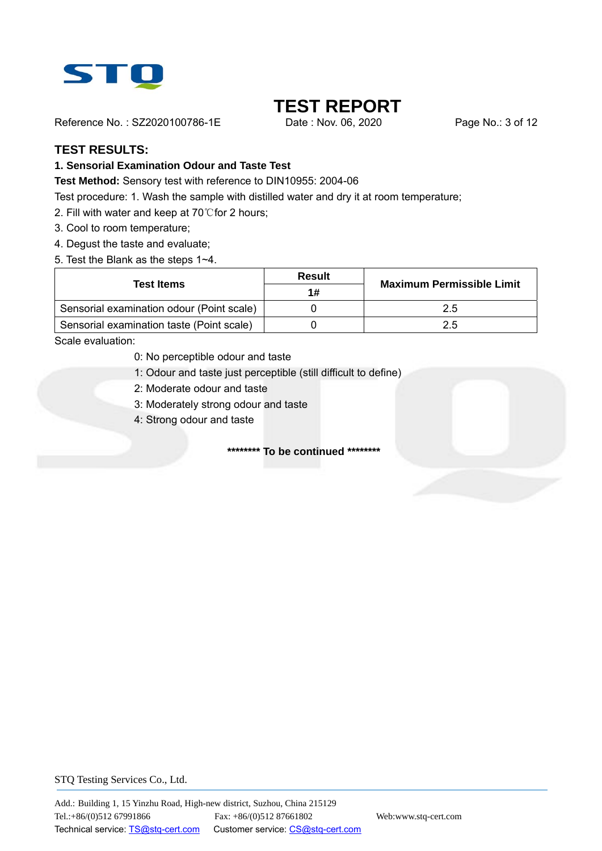

Reference No.: SZ2020100786-1E Date: Nov. 06, 2020 Page No.: 3 of 12

## **TEST RESULTS:**

#### **1. Sensorial Examination Odour and Taste Test**

**Test Method:** Sensory test with reference to DIN10955: 2004-06

Test procedure: 1. Wash the sample with distilled water and dry it at room temperature;

- 2. Fill with water and keep at 70°C for 2 hours;
- 3. Cool to room temperature;
- 4. Degust the taste and evaluate;
- 5. Test the Blank as the steps 1~4.

| Test Items                                | Result | <b>Maximum Permissible Limit</b> |
|-------------------------------------------|--------|----------------------------------|
|                                           | 1#     |                                  |
| Sensorial examination odour (Point scale) |        | 2.5                              |
| Sensorial examination taste (Point scale) |        | 2.5                              |

Scale evaluation:

- 0: No perceptible odour and taste
- 1: Odour and taste just perceptible (still difficult to define)
- 2: Moderate odour and taste
- 3: Moderately strong odour and taste
- 4: Strong odour and taste

**\*\*\*\*\*\*\*\* To be continued \*\*\*\*\*\*\*\***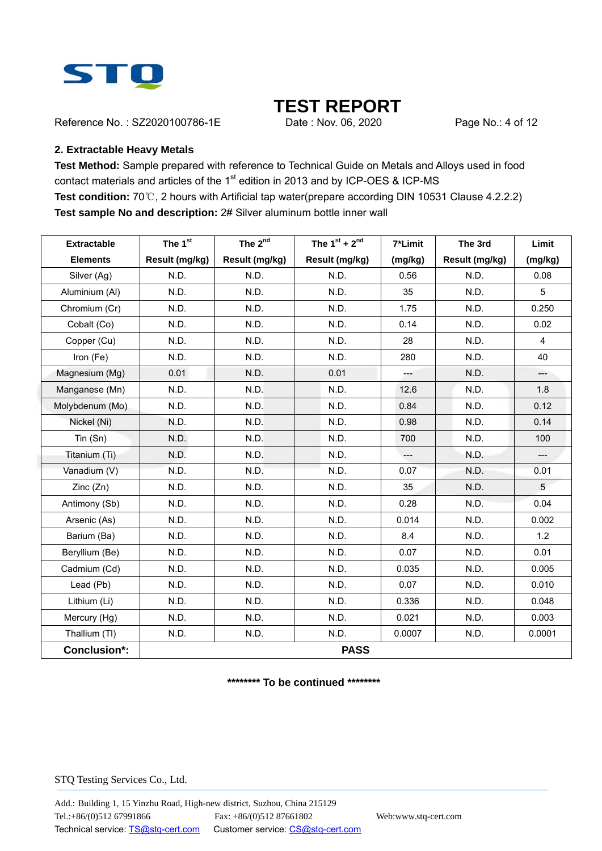

Reference No.: SZ2020100786-1E Date: Nov. 06, 2020 Page No.: 4 of 12

#### **2. Extractable Heavy Metals**

**Test Method:** Sample prepared with reference to Technical Guide on Metals and Alloys used in food contact materials and articles of the 1<sup>st</sup> edition in 2013 and by ICP-OES & ICP-MS **Test condition:** 70℃, 2 hours with Artificial tap water(prepare according DIN 10531 Clause 4.2.2.2) **Test sample No and description:** 2# Silver aluminum bottle inner wall

| <b>Extractable</b>  | The 1st        | The 2 <sup>nd</sup> | The $1^{st}$ + $2^{nd}$ | 7*Limit | The 3rd        | Limit          |  |  |
|---------------------|----------------|---------------------|-------------------------|---------|----------------|----------------|--|--|
| <b>Elements</b>     | Result (mg/kg) | Result (mg/kg)      | Result (mg/kg)          | (mg/kg) | Result (mg/kg) | (mg/kg)        |  |  |
| Silver (Ag)         | N.D.           | N.D.                | N.D.                    | 0.56    | N.D.           | 0.08           |  |  |
| Aluminium (AI)      | N.D.           | N.D.                | N.D.                    | 35      | N.D.           | 5              |  |  |
| Chromium (Cr)       | N.D.           | N.D.                | N.D.                    | 1.75    | N.D.           | 0.250          |  |  |
| Cobalt (Co)         | N.D.           | N.D.                | N.D.                    | 0.14    | N.D.           | 0.02           |  |  |
| Copper (Cu)         | N.D.           | N.D.                | N.D.                    | 28      | N.D.           | $\overline{4}$ |  |  |
| Iron (Fe)           | N.D.           | N.D.                | N.D.                    | 280     | N.D.           | 40             |  |  |
| Magnesium (Mg)      | 0.01           | N.D.                | 0.01                    | $--$    | N.D.           | $---$          |  |  |
| Manganese (Mn)      | N.D.           | N.D.                | N.D.                    | 12.6    | N.D.           | 1.8            |  |  |
| Molybdenum (Mo)     | N.D.           | N.D.                | N.D.                    | 0.84    | N.D.           | 0.12           |  |  |
| Nickel (Ni)         | N.D.           | N.D.                | N.D.                    | 0.98    | N.D.           | 0.14           |  |  |
| $T$ in $(Sn)$       | N.D.           | N.D.                | N.D.                    | 700     | N.D.           | 100            |  |  |
| Titanium (Ti)       | N.D.           | N.D.                | N.D.                    | $---$   | N.D.           |                |  |  |
| Vanadium (V)        | N.D.           | N.D.                | N.D.                    | 0.07    | N.D.           | 0.01           |  |  |
| Zinc(Zn)            | N.D.           | N.D.                | N.D.                    | 35      | N.D.           | 5              |  |  |
| Antimony (Sb)       | N.D.           | N.D.                | N.D.                    | 0.28    | N.D.           | 0.04           |  |  |
| Arsenic (As)        | N.D.           | N.D.                | N.D.                    | 0.014   | N.D.           | 0.002          |  |  |
| Barium (Ba)         | N.D.           | N.D.                | N.D.                    | 8.4     | N.D.           | 1.2            |  |  |
| Beryllium (Be)      | N.D.           | N.D.                | N.D.                    | 0.07    | N.D.           | 0.01           |  |  |
| Cadmium (Cd)        | N.D.           | N.D.                | N.D.                    | 0.035   | N.D.           | 0.005          |  |  |
| Lead (Pb)           | N.D.           | N.D.                | N.D.                    | 0.07    | N.D.           | 0.010          |  |  |
| Lithium (Li)        | N.D.           | N.D.                | N.D.                    | 0.336   | N.D.           | 0.048          |  |  |
| Mercury (Hg)        | N.D.           | N.D.                | N.D.                    | 0.021   | N.D.           | 0.003          |  |  |
| Thallium (TI)       | N.D.           | N.D.                | N.D.                    | 0.0007  | N.D.           | 0.0001         |  |  |
| <b>Conclusion*:</b> |                | <b>PASS</b>         |                         |         |                |                |  |  |

**\*\*\*\*\*\*\*\* To be continued \*\*\*\*\*\*\*\***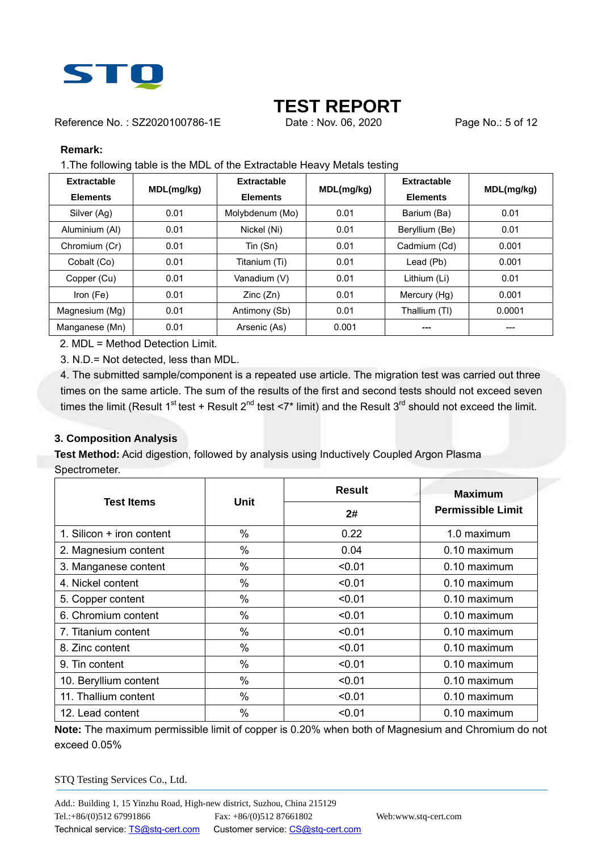

Reference No.: SZ2020100786-1E Date: Nov. 06, 2020 Page No.: 5 of 12

#### **Remark:**

1.The following table is the MDL of the Extractable Heavy Metals testing

| <b>Extractable</b><br><b>Elements</b> | MDL(mg/kg) | Extractable<br><b>Elements</b> | MDL(mg/kg) | <b>Extractable</b><br><b>Elements</b> | MDL(mg/kg) |
|---------------------------------------|------------|--------------------------------|------------|---------------------------------------|------------|
| Silver (Ag)                           | 0.01       | Molybdenum (Mo)                | 0.01       | Barium (Ba)                           | 0.01       |
| Aluminium (AI)                        | 0.01       | Nickel (Ni)                    | 0.01       | Beryllium (Be)                        | 0.01       |
| Chromium (Cr)                         | 0.01       | Tin (Sn)                       | 0.01       | Cadmium (Cd)                          | 0.001      |
| Cobalt (Co)                           | 0.01       | Titanium (Ti)                  | 0.01       | Lead (Pb)                             | 0.001      |
| Copper (Cu)                           | 0.01       | Vanadium (V)                   | 0.01       | Lithium (Li)                          | 0.01       |
| Iron (Fe)                             | 0.01       | Zinc(Zn)                       | 0.01       | Mercury (Hg)                          | 0.001      |
| Magnesium (Mg)                        | 0.01       | Antimony (Sb)                  | 0.01       | Thallium (TI)                         | 0.0001     |
| Manganese (Mn)                        | 0.01       | Arsenic (As)                   | 0.001      | ---                                   | ---        |

2. MDL = Method Detection Limit.

3. N.D.= Not detected, less than MDL.

4. The submitted sample/component is a repeated use article. The migration test was carried out three times on the same article. The sum of the results of the first and second tests should not exceed seven times the limit (Result 1<sup>st</sup> test + Result 2<sup>nd</sup> test <7\* limit) and the Result 3<sup>rd</sup> should not exceed the limit.

#### **3. Composition Analysis**

**Test Method:** Acid digestion, followed by analysis using Inductively Coupled Argon Plasma Spectrometer.

| <b>Test Items</b>         | <b>Unit</b>   | <b>Result</b> | <b>Maximum</b>           |
|---------------------------|---------------|---------------|--------------------------|
|                           |               | 2#            | <b>Permissible Limit</b> |
| 1. Silicon + iron content | $\%$          | 0.22          | 1.0 maximum              |
| 2. Magnesium content      | $\frac{0}{0}$ | 0.04          | 0.10 maximum             |
| 3. Manganese content      | $\%$          | < 0.01        | 0.10 maximum             |
| 4. Nickel content         | $\frac{0}{0}$ | < 0.01        | 0.10 maximum             |
| 5. Copper content         | $\frac{0}{0}$ | < 0.01        | 0.10 maximum             |
| 6. Chromium content       | $\frac{0}{0}$ | < 0.01        | 0.10 maximum             |
| 7. Titanium content       | $\%$          | < 0.01        | 0.10 maximum             |
| 8. Zinc content           | $\frac{0}{0}$ | < 0.01        | 0.10 maximum             |
| 9. Tin content            | $\%$          | < 0.01        | 0.10 maximum             |
| 10. Beryllium content     | $\frac{0}{0}$ | < 0.01        | 0.10 maximum             |
| 11. Thallium content      | $\%$          | < 0.01        | 0.10 maximum             |
| 12. Lead content          | $\frac{0}{0}$ | < 0.01        | $0.10$ maximum           |

**Note:** The maximum permissible limit of copper is 0.20% when both of Magnesium and Chromium do not exceed 0.05%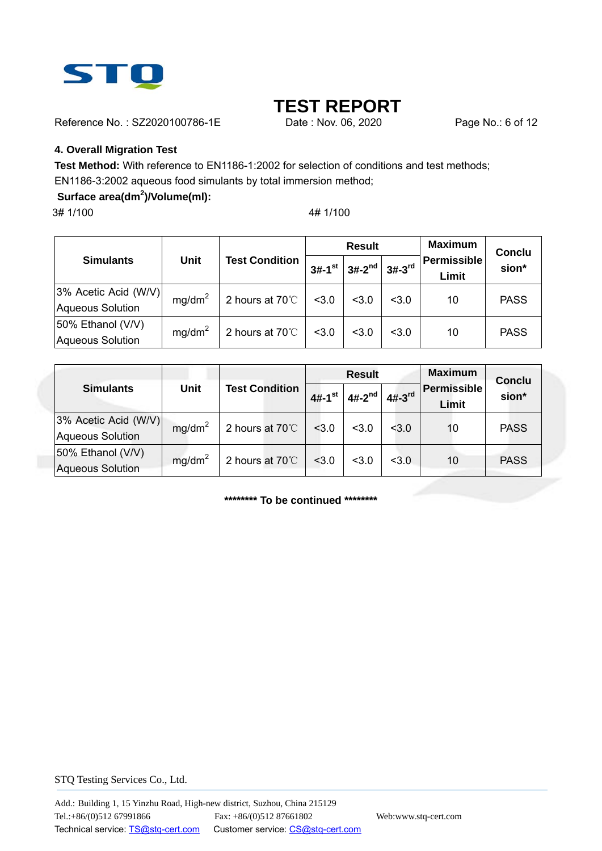

Reference No.: SZ2020100786-1E Date: Nov. 06, 2020 Page No.: 6 of 12

### **4. Overall Migration Test**

**Test Method:** With reference to EN1186-1:2002 for selection of conditions and test methods; EN1186-3:2002 aqueous food simulants by total immersion method;

## **Surface area(dm<sup>2</sup> )/Volume(ml):**

3# 1/100 4# 1/100

|                                                 |                    |                           | <b>Result</b>        |             |          | <b>Maximum</b>              | Conclu      |
|-------------------------------------------------|--------------------|---------------------------|----------------------|-------------|----------|-----------------------------|-------------|
| <b>Simulants</b>                                | <b>Unit</b>        | <b>Test Condition</b>     | $3#-1$ <sup>st</sup> | $3#-2^{nd}$ | $3#-3rd$ | <b>Permissible</b><br>Limit | sion*       |
| 3% Acetic Acid (W/V)<br><b>Aqueous Solution</b> | mg/dm <sup>2</sup> | 2 hours at 70°C           | < 3.0                | < 3.0       | < 3.0    | 10                          | <b>PASS</b> |
| 50% Ethanol (V/V)<br><b>Aqueous Solution</b>    | mg/dm <sup>2</sup> | 2 hours at $70^{\circ}$ C | < 3.0                | < 3.0       | < 3.0    | 10                          | <b>PASS</b> |

|                         |                    |                       | <b>Result</b>        |             |                      | <b>Maximum</b>              | <b>Conclu</b> |
|-------------------------|--------------------|-----------------------|----------------------|-------------|----------------------|-----------------------------|---------------|
| <b>Simulants</b>        | <b>Unit</b>        | <b>Test Condition</b> | $4#-1$ <sup>st</sup> | $4#-2^{nd}$ | $4#-3$ <sup>rd</sup> | <b>Permissible</b><br>Limit | sion*         |
| 3% Acetic Acid (W/V)    | mg/dm <sup>2</sup> | 2 hours at 70°C       | 3.0                  | < 3.0       | < 3.0                | 10                          | <b>PASS</b>   |
| Aqueous Solution        |                    |                       |                      |             |                      |                             |               |
| 50% Ethanol (V/V)       | mg/dm <sup>2</sup> | 2 hours at 70°C       | 3.0                  |             | 3.0                  |                             | <b>PASS</b>   |
| <b>Aqueous Solution</b> |                    |                       |                      | 3.0         |                      | 10                          |               |

**\*\*\*\*\*\*\*\* To be continued \*\*\*\*\*\*\*\***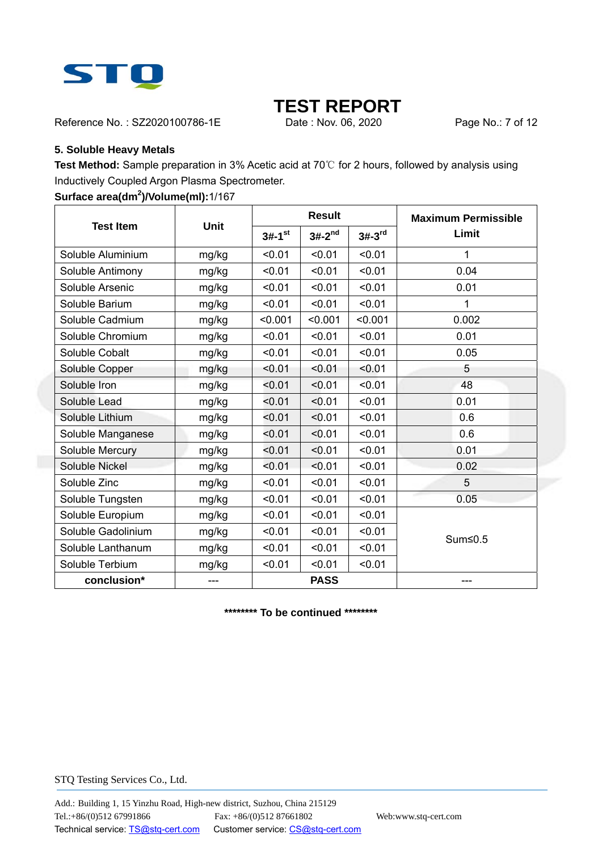

Reference No.: SZ2020100786-1E Date: Nov. 06, 2020 Page No.: 7 of 12

#### **5. Soluble Heavy Metals**

**Test Method:** Sample preparation in 3% Acetic acid at 70℃ for 2 hours, followed by analysis using Inductively Coupled Argon Plasma Spectrometer.

#### **Surface area(dm<sup>2</sup> )/Volume(ml):**1/167

|                    | <b>Unit</b> |                      | <b>Result</b> |          | <b>Maximum Permissible</b> |  |
|--------------------|-------------|----------------------|---------------|----------|----------------------------|--|
| <b>Test Item</b>   |             | $3#-1$ <sup>st</sup> | $3#-2^{nd}$   | $3#-3rd$ | Limit                      |  |
| Soluble Aluminium  | mg/kg       | < 0.01               | < 0.01        | < 0.01   | 1                          |  |
| Soluble Antimony   | mg/kg       | < 0.01               | < 0.01        | < 0.01   | 0.04                       |  |
| Soluble Arsenic    | mg/kg       | < 0.01               | < 0.01        | < 0.01   | 0.01                       |  |
| Soluble Barium     | mg/kg       | < 0.01               | < 0.01        | < 0.01   | 1                          |  |
| Soluble Cadmium    | mg/kg       | < 0.001              | < 0.001       | < 0.001  | 0.002                      |  |
| Soluble Chromium   | mg/kg       | < 0.01               | < 0.01        | < 0.01   | 0.01                       |  |
| Soluble Cobalt     | mg/kg       | < 0.01               | < 0.01        | < 0.01   | 0.05                       |  |
| Soluble Copper     | mg/kg       | < 0.01               | < 0.01        | < 0.01   | 5                          |  |
| Soluble Iron       | mg/kg       | < 0.01               | < 0.01        | < 0.01   | 48                         |  |
| Soluble Lead       | mg/kg       | < 0.01               | < 0.01        | < 0.01   | 0.01                       |  |
| Soluble Lithium    | mg/kg       | < 0.01               | < 0.01        | < 0.01   | 0.6                        |  |
| Soluble Manganese  | mg/kg       | < 0.01               | < 0.01        | < 0.01   | 0.6                        |  |
| Soluble Mercury    | mg/kg       | < 0.01               | < 0.01        | < 0.01   | 0.01                       |  |
| Soluble Nickel     | mg/kg       | < 0.01               | < 0.01        | < 0.01   | 0.02                       |  |
| Soluble Zinc       | mg/kg       | < 0.01               | < 0.01        | < 0.01   | 5                          |  |
| Soluble Tungsten   | mg/kg       | < 0.01               | < 0.01        | < 0.01   | 0.05                       |  |
| Soluble Europium   | mg/kg       | < 0.01               | < 0.01        | < 0.01   |                            |  |
| Soluble Gadolinium | mg/kg       | < 0.01               | < 0.01        | < 0.01   | Sum≤0.5                    |  |
| Soluble Lanthanum  | mg/kg       | < 0.01               | < 0.01        | < 0.01   |                            |  |
| Soluble Terbium    | mg/kg       | < 0.01               | < 0.01        | < 0.01   |                            |  |
| conclusion*        | ---         |                      | <b>PASS</b>   |          |                            |  |

**\*\*\*\*\*\*\*\* To be continued \*\*\*\*\*\*\*\***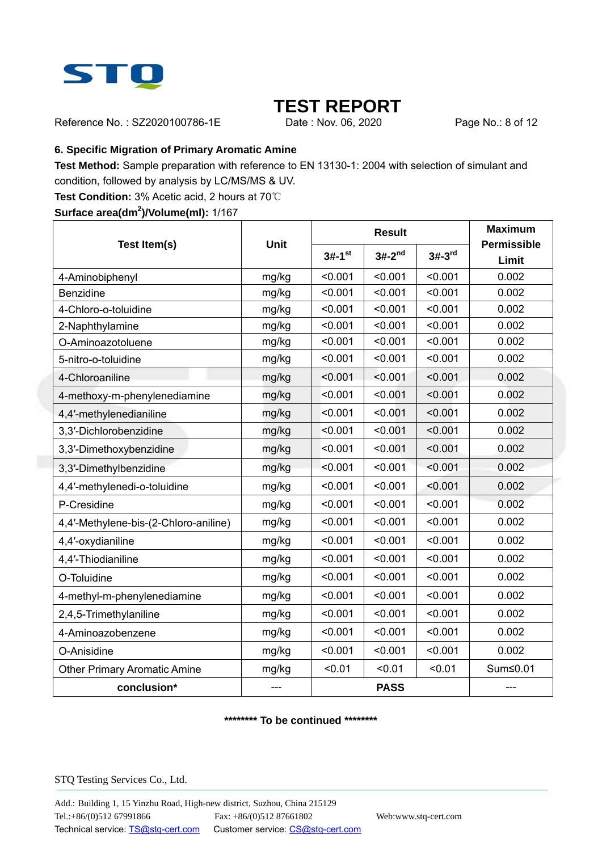

Reference No.: SZ2020100786-1E Date: Nov. 06, 2020 Page No.: 8 of 12

#### **6. Specific Migration of Primary Aromatic Amine**

**Test Method:** Sample preparation with reference to EN 13130-1: 2004 with selection of simulant and condition, followed by analysis by LC/MS/MS & UV.

**Test Condition:** 3% Acetic acid, 2 hours at 70℃

**Surface area(dm<sup>2</sup> )/Volume(ml):** 1/167

|                                       |             |                      | <b>Result</b> | <b>Maximum</b> |                             |
|---------------------------------------|-------------|----------------------|---------------|----------------|-----------------------------|
| Test Item(s)                          | <b>Unit</b> | $3#-1$ <sup>st</sup> | $3#-2^{nd}$   | $3#-3rd$       | <b>Permissible</b><br>Limit |
| 4-Aminobiphenyl                       | mg/kg       | < 0.001              | < 0.001       | < 0.001        | 0.002                       |
| <b>Benzidine</b>                      | mg/kg       | < 0.001              | < 0.001       | < 0.001        | 0.002                       |
| 4-Chloro-o-toluidine                  | mg/kg       | < 0.001              | < 0.001       | < 0.001        | 0.002                       |
| 2-Naphthylamine                       | mg/kg       | < 0.001              | < 0.001       | < 0.001        | 0.002                       |
| O-Aminoazotoluene                     | mg/kg       | < 0.001              | < 0.001       | < 0.001        | 0.002                       |
| 5-nitro-o-toluidine                   | mg/kg       | < 0.001              | < 0.001       | < 0.001        | 0.002                       |
| 4-Chloroaniline                       | mg/kg       | < 0.001              | < 0.001       | < 0.001        | 0.002                       |
| 4-methoxy-m-phenylenediamine          | mg/kg       | < 0.001              | < 0.001       | < 0.001        | 0.002                       |
| 4,4'-methylenedianiline               | mg/kg       | < 0.001              | < 0.001       | < 0.001        | 0.002                       |
| 3,3'-Dichlorobenzidine                | mg/kg       | < 0.001              | < 0.001       | < 0.001        | 0.002                       |
| 3,3'-Dimethoxybenzidine               | mg/kg       | < 0.001              | < 0.001       | < 0.001        | 0.002                       |
| 3,3'-Dimethylbenzidine                | mg/kg       | < 0.001              | < 0.001       | < 0.001        | 0.002                       |
| 4,4'-methylenedi-o-toluidine          | mg/kg       | < 0.001              | < 0.001       | < 0.001        | 0.002                       |
| P-Cresidine                           | mg/kg       | < 0.001              | < 0.001       | < 0.001        | 0.002                       |
| 4,4'-Methylene-bis-(2-Chloro-aniline) | mg/kg       | < 0.001              | < 0.001       | < 0.001        | 0.002                       |
| 4,4'-oxydianiline                     | mg/kg       | < 0.001              | < 0.001       | < 0.001        | 0.002                       |
| 4,4'-Thiodianiline                    | mg/kg       | < 0.001              | < 0.001       | < 0.001        | 0.002                       |
| O-Toluidine                           | mg/kg       | < 0.001              | < 0.001       | < 0.001        | 0.002                       |
| 4-methyl-m-phenylenediamine           | mg/kg       | < 0.001              | < 0.001       | < 0.001        | 0.002                       |
| 2,4,5-Trimethylaniline                | mg/kg       | < 0.001              | < 0.001       | < 0.001        | 0.002                       |
| 4-Aminoazobenzene                     | mg/kg       | < 0.001              | < 0.001       | < 0.001        | 0.002                       |
| O-Anisidine                           | mg/kg       | < 0.001              | < 0.001       | < 0.001        | 0.002                       |
| <b>Other Primary Aromatic Amine</b>   | mg/kg       | < 0.01               | < 0.01        | < 0.01         | Sum≤0.01                    |
| conclusion*                           |             |                      | <b>PASS</b>   |                |                             |

#### **\*\*\*\*\*\*\*\* To be continued \*\*\*\*\*\*\*\***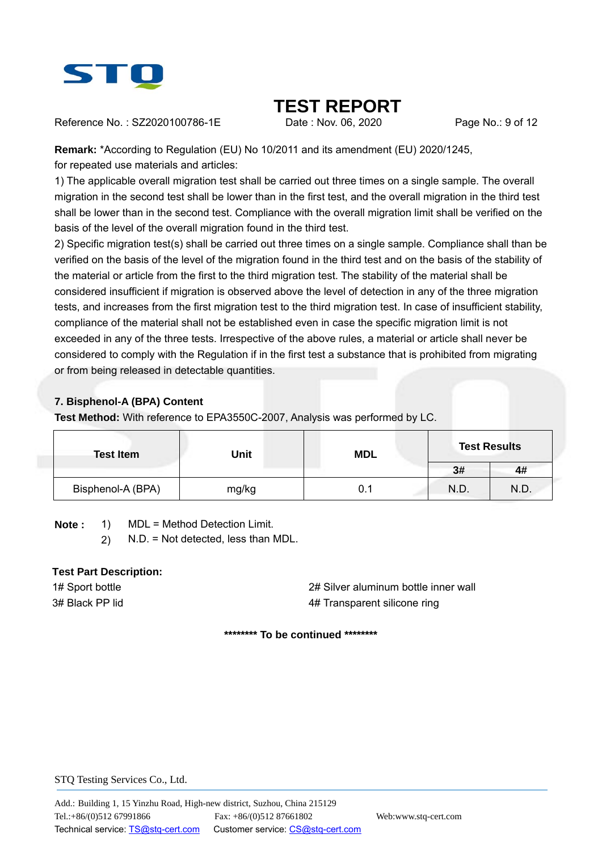

Reference No.: SZ2020100786-1E Date: Nov. 06, 2020 Page No.: 9 of 12

**Remark:** \*According to Regulation (EU) No 10/2011 and its amendment (EU) 2020/1245,

for repeated use materials and articles:

1) The applicable overall migration test shall be carried out three times on a single sample. The overall migration in the second test shall be lower than in the first test, and the overall migration in the third test shall be lower than in the second test. Compliance with the overall migration limit shall be verified on the basis of the level of the overall migration found in the third test.

2) Specific migration test(s) shall be carried out three times on a single sample. Compliance shall than be verified on the basis of the level of the migration found in the third test and on the basis of the stability of the material or article from the first to the third migration test. The stability of the material shall be considered insufficient if migration is observed above the level of detection in any of the three migration tests, and increases from the first migration test to the third migration test. In case of insufficient stability, compliance of the material shall not be established even in case the specific migration limit is not exceeded in any of the three tests. Irrespective of the above rules, a material or article shall never be considered to comply with the Regulation if in the first test a substance that is prohibited from migrating or from being released in detectable quantities.

## **7. Bisphenol-A (BPA) Content**

**Test Method:** With reference to EPA3550C-2007, Analysis was performed by LC.

| <b>Test Item</b>  | <b>Unit</b> | <b>MDL</b> |      | <b>Test Results</b> |
|-------------------|-------------|------------|------|---------------------|
|                   |             |            | 3#   | 4#                  |
| Bisphenol-A (BPA) | mg/kg       | 0.1        | N.D. | N.D.                |

**Note :** 1) MDL = Method Detection Limit.

2) N.D. = Not detected, less than MDL.

## **Test Part Description:**

1# Sport bottle 2# Silver aluminum bottle inner wall 3# Black PP lid 4# Transparent silicone ring

**\*\*\*\*\*\*\*\* To be continued \*\*\*\*\*\*\*\***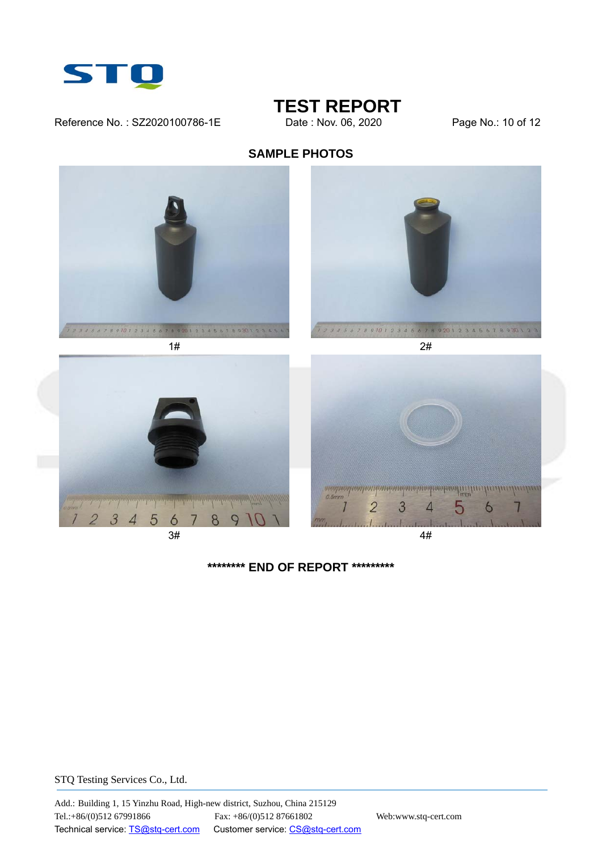

## Reference No.: SZ2020100786-1E Date : Nov. 06, 2020 Page No.: 10 of 12

# **TEST REPORT**<br>Date : Nov. 06, 2020

## **SAMPLE PHOTOS**



**\*\*\*\*\*\*\*\* END OF REPORT \*\*\*\*\*\*\*\*\***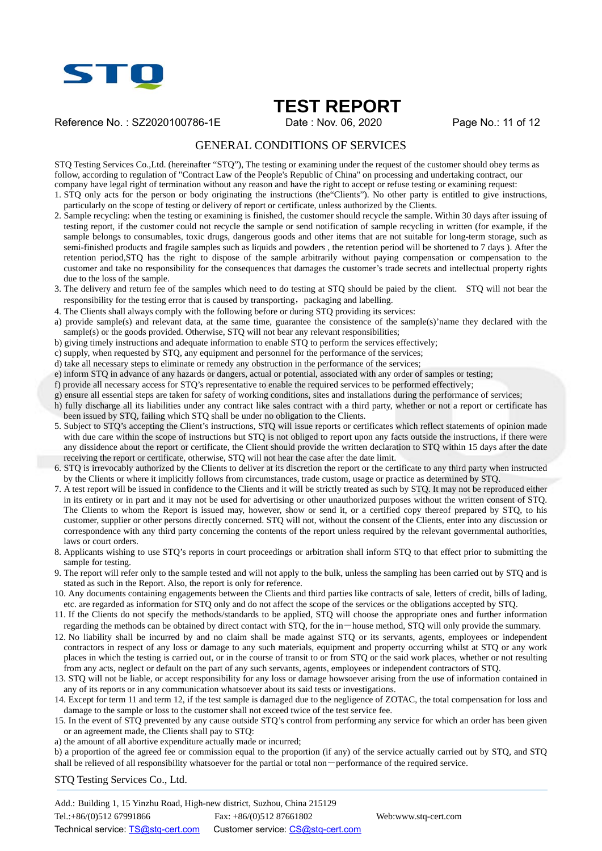

Reference No.: SZ2020100786-1E Date: Nov. 06, 2020 Page No.: 11 of 12

#### GENERAL CONDITIONS OF SERVICES

STQ Testing Services Co.,Ltd. (hereinafter "STQ"), The testing or examining under the request of the customer should obey terms as follow, according to regulation of "Contract Law of the People's Republic of China" on processing and undertaking contract, our company have legal right of termination without any reason and have the right to accept or refuse testing or examining request:

1. STQ only acts for the person or body originating the instructions (the"Clients"). No other party is entitled to give instructions, particularly on the scope of testing or delivery of report or certificate, unless authorized by the Clients.

- 2. Sample recycling: when the testing or examining is finished, the customer should recycle the sample. Within 30 days after issuing of testing report, if the customer could not recycle the sample or send notification of sample recycling in written (for example, if the sample belongs to consumables, toxic drugs, dangerous goods and other items that are not suitable for long-term storage, such as semi-finished products and fragile samples such as liquids and powders , the retention period will be shortened to 7 days ). After the retention period,STQ has the right to dispose of the sample arbitrarily without paying compensation or compensation to the customer and take no responsibility for the consequences that damages the customer's trade secrets and intellectual property rights due to the loss of the sample.
- 3. The delivery and return fee of the samples which need to do testing at STQ should be paied by the client. STQ will not bear the responsibility for the testing error that is caused by transporting, packaging and labelling.
- 4. The Clients shall always comply with the following before or during STQ providing its services:
- a) provide sample(s) and relevant data, at the same time, guarantee the consistence of the sample(s)'name they declared with the  $sample(s)$  or the goods provided. Otherwise, STQ will not bear any relevant responsibilities;
- b) giving timely instructions and adequate information to enable STQ to perform the services effectively;
- c) supply, when requested by STQ, any equipment and personnel for the performance of the services;
- d) take all necessary steps to eliminate or remedy any obstruction in the performance of the services;
- e) inform STQ in advance of any hazards or dangers, actual or potential, associated with any order of samples or testing;
- f) provide all necessary access for STQ's representative to enable the required services to be performed effectively;
- g) ensure all essential steps are taken for safety of working conditions, sites and installations during the performance of services;
- h) fully discharge all its liabilities under any contract like sales contract with a third party, whether or not a report or certificate has been issued by STQ, failing which STQ shall be under no obligation to the Clients.
- 5. Subject to STQ's accepting the Client's instructions, STQ will issue reports or certificates which reflect statements of opinion made with due care within the scope of instructions but STQ is not obliged to report upon any facts outside the instructions, if there were any dissidence about the report or certificate, the Client should provide the written declaration to STQ within 15 days after the date receiving the report or certificate, otherwise, STQ will not hear the case after the date limit.
- 6. STQ is irrevocably authorized by the Clients to deliver at its discretion the report or the certificate to any third party when instructed by the Clients or where it implicitly follows from circumstances, trade custom, usage or practice as determined by STQ.
- 7. A test report will be issued in confidence to the Clients and it will be strictly treated as such by STQ. It may not be reproduced either in its entirety or in part and it may not be used for advertising or other unauthorized purposes without the written consent of STQ. The Clients to whom the Report is issued may, however, show or send it, or a certified copy thereof prepared by STQ, to his customer, supplier or other persons directly concerned. STQ will not, without the consent of the Clients, enter into any discussion or correspondence with any third party concerning the contents of the report unless required by the relevant governmental authorities, laws or court orders.
- 8. Applicants wishing to use STQ's reports in court proceedings or arbitration shall inform STQ to that effect prior to submitting the sample for testing.
- 9. The report will refer only to the sample tested and will not apply to the bulk, unless the sampling has been carried out by STQ and is stated as such in the Report. Also, the report is only for reference.
- 10. Any documents containing engagements between the Clients and third parties like contracts of sale, letters of credit, bills of lading, etc. are regarded as information for STQ only and do not affect the scope of the services or the obligations accepted by STQ.
- 11. If the Clients do not specify the methods/standards to be applied, STQ will choose the appropriate ones and further information regarding the methods can be obtained by direct contact with STQ, for the in-house method, STQ will only provide the summary.
- 12. No liability shall be incurred by and no claim shall be made against STQ or its servants, agents, employees or independent contractors in respect of any loss or damage to any such materials, equipment and property occurring whilst at STQ or any work places in which the testing is carried out, or in the course of transit to or from STQ or the said work places, whether or not resulting from any acts, neglect or default on the part of any such servants, agents, employees or independent contractors of STQ.
- 13. STQ will not be liable, or accept responsibility for any loss or damage howsoever arising from the use of information contained in any of its reports or in any communication whatsoever about its said tests or investigations.
- 14. Except for term 11 and term 12, if the test sample is damaged due to the negligence of ZOTAC, the total compensation for loss and damage to the sample or loss to the customer shall not exceed twice of the test service fee.
- 15. In the event of STQ prevented by any cause outside STQ's control from performing any service for which an order has been given or an agreement made, the Clients shall pay to STQ:
- a) the amount of all abortive expenditure actually made or incurred;

b) a proportion of the agreed fee or commission equal to the proportion (if any) of the service actually carried out by STQ, and STQ shall be relieved of all responsibility whatsoever for the partial or total non-performance of the required service.

STQ Testing Services Co., Ltd.

Add.: Building 1, 15 Yinzhu Road, High-new district, Suzhou, China 215129 Tel.:+86/(0)512 67991866 Fax: +86/(0)512 87661802 Web:www.stq-cert.com Technical service: TS@stq-cert.com Customer service: CS@stq-cert.com